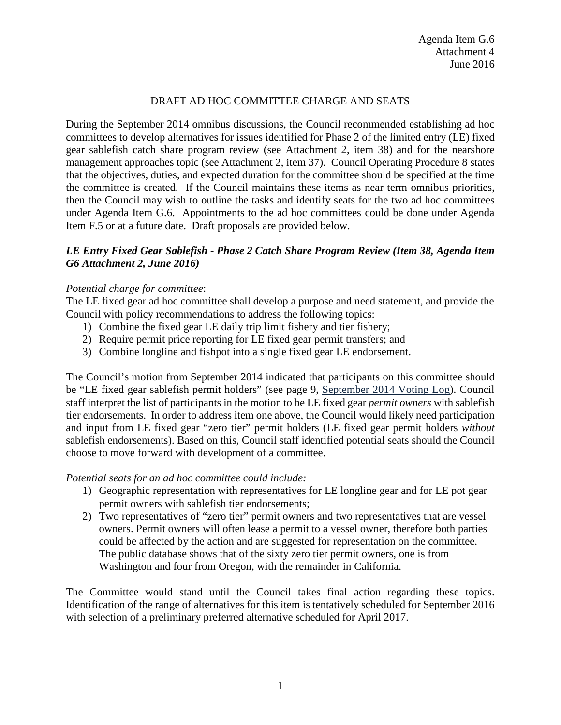# DRAFT AD HOC COMMITTEE CHARGE AND SEATS

During the September 2014 omnibus discussions, the Council recommended establishing ad hoc committees to develop alternatives for issues identified for Phase 2 of the limited entry (LE) fixed gear sablefish catch share program review (see Attachment 2, item 38) and for the nearshore management approaches topic (see Attachment 2, item 37). Council Operating Procedure 8 states that the objectives, duties, and expected duration for the committee should be specified at the time the committee is created. If the Council maintains these items as near term omnibus priorities, then the Council may wish to outline the tasks and identify seats for the two ad hoc committees under Agenda Item G.6. Appointments to the ad hoc committees could be done under Agenda Item F.5 or at a future date. Draft proposals are provided below.

## *LE Entry Fixed Gear Sablefish - Phase 2 Catch Share Program Review (Item 38, Agenda Item G6 Attachment 2, June 2016)*

### *Potential charge for committee*:

The LE fixed gear ad hoc committee shall develop a purpose and need statement, and provide the Council with policy recommendations to address the following topics:

- 1) Combine the fixed gear LE daily trip limit fishery and tier fishery;
- 2) Require permit price reporting for LE fixed gear permit transfers; and
- 3) Combine longline and fishpot into a single fixed gear LE endorsement.

The Council's motion from September 2014 indicated that participants on this committee should be "LE fixed gear sablefish permit holders" (see page 9, [September 2014 Voting Log\)](http://www.pcouncil.org/wp-content/uploads/2015/06/FINALVotingLog_Sep2014.pdf). Council staff interpret the list of participants in the motion to be LE fixed gear *permit owners* with sablefish tier endorsements. In order to address item one above, the Council would likely need participation and input from LE fixed gear "zero tier" permit holders (LE fixed gear permit holders *without* sablefish endorsements). Based on this, Council staff identified potential seats should the Council choose to move forward with development of a committee.

### *Potential seats for an ad hoc committee could include:*

- 1) Geographic representation with representatives for LE longline gear and for LE pot gear permit owners with sablefish tier endorsements;
- 2) Two representatives of "zero tier" permit owners and two representatives that are vessel owners. Permit owners will often lease a permit to a vessel owner, therefore both parties could be affected by the action and are suggested for representation on the committee. The public database shows that of the sixty zero tier permit owners, one is from Washington and four from Oregon, with the remainder in California.

The Committee would stand until the Council takes final action regarding these topics. Identification of the range of alternatives for this item is tentatively scheduled for September 2016 with selection of a preliminary preferred alternative scheduled for April 2017.